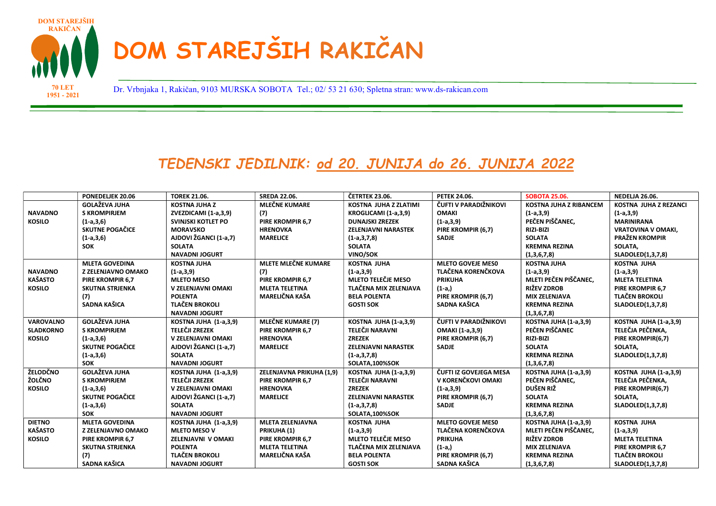

1951 - 2021

Dr. Vrbnjaka 1, Rakičan, 9103 MURSKA SOBOTA Tel.; 02/ 53 21 630; Spletna stran: www.ds-rakican.com 70 LET

## TEDENSKI JEDILNIK: od 20. JUNIJA do 26. JUNIJA 2022

|                  | PONEDELJEK 20.06          | <b>TOREK 21.06.</b>   | <b>SREDA 22.06.</b>        | <b>ČETRTEK 23.06.</b>        | <b>PETEK 24.06.</b>      | <b>SOBOTA 25.06.</b>          | <b>NEDELJA 26.06.</b>        |
|------------------|---------------------------|-----------------------|----------------------------|------------------------------|--------------------------|-------------------------------|------------------------------|
|                  | <b>GOLAŽEVA JUHA</b>      | <b>KOSTNA JUHA Z</b>  | <b>MLEČNE KUMARE</b>       | <b>KOSTNA JUHA Z ZLATIMI</b> | ČUFTI V PARADIŽNIKOVI    | <b>KOSTNA JUHA Z RIBANCEM</b> | <b>KOSTNA JUHA Z REZANCI</b> |
| <b>NAVADNO</b>   | <b>S KROMPIRJEM</b>       | ZVEZDICAMI (1-a,3,9)  | (7)                        | KROGLICAMI (1-a,3,9)         | <b>OMAKI</b>             | $(1-a,3,9)$                   | $(1-a,3,9)$                  |
| <b>KOSILO</b>    | $(1-a,3,6)$               | SVINJSKI KOTLET PO    | <b>PIRE KROMPIR 6.7</b>    | <b>DUNAJSKI ZREZEK</b>       | $(1-a,3,9)$              | PEČEN PIŠČANEC.               | <b>MARINIRANA</b>            |
|                  | <b>SKUTNE POGAČICE</b>    | <b>MORAVSKO</b>       | <b>HRENOVKA</b>            | <b>ZELENJAVNI NARASTEK</b>   | PIRE KROMPIR (6.7)       | <b>RIZI-BIZI</b>              | <b>VRATOVINA V OMAKI.</b>    |
|                  | $(1-a,3,6)$               | AJDOVI ŽGANCI (1-a,7) | <b>MARELICE</b>            | $(1-a,3,7,8)$                | <b>SADJE</b>             | <b>SOLATA</b>                 | <b>PRAŽEN KROMPIR</b>        |
|                  | SOK                       | <b>SOLATA</b>         |                            | <b>SOLATA</b>                |                          | <b>KREMNA REZINA</b>          | SOLATA,                      |
|                  |                           | <b>NAVADNI JOGURT</b> |                            | <b>VINO/SOK</b>              |                          | (1,3,6,7,8)                   | SLADOLED(1,3,7,8)            |
|                  | <b>MLETA GOVEDINA</b>     | <b>KOSTNA JUHA</b>    | <b>MLETE MLEČNE KUMARE</b> | <b>KOSTNA JUHA</b>           | <b>MLETO GOVEJE MESO</b> | <b>KOSTNA JUHA</b>            | <b>KOSTNA JUHA</b>           |
| <b>NAVADNO</b>   | <b>Z ZELENJAVNO OMAKO</b> | $(1-a,3,9)$           | (7)                        | $(1-a,3,9)$                  | TLAČENA KORENČKOVA       | $(1-a,3,9)$                   | $(1-a,3,9)$                  |
| <b>KAŠASTO</b>   | PIRE KROMPIR 6,7          | <b>MLETO MESO</b>     | PIRE KROMPIR 6,7           | <b>MLETO TELEČJE MESO</b>    | <b>PRIKUHA</b>           | MLETI PEČEN PIŠČANEC.         | <b>MLETA TELETINA</b>        |
| <b>KOSILO</b>    | <b>SKUTNA STRJENKA</b>    | V ZELENJAVNI OMAKI    | <b>MLETA TELETINA</b>      | TLAČENA MIX ZELENJAVA        | $(1-a)$                  | <b>RIŽEV ZDROB</b>            | PIRE KROMPIR 6,7             |
|                  | (7)                       | <b>POLENTA</b>        | MARELIČNA KAŠA             | <b>BELA POLENTA</b>          | PIRE KROMPIR (6,7)       | <b>MIX ZELENJAVA</b>          | <b>TLAČEN BROKOLI</b>        |
|                  | SADNA KAŠICA              | <b>TLAČEN BROKOLI</b> |                            | <b>GOSTI SOK</b>             | SADNA KAŠICA             | <b>KREMNA REZINA</b>          | SLADOLED(1,3,7,8)            |
|                  |                           | <b>NAVADNI JOGURT</b> |                            |                              |                          | (1,3,6,7,8)                   |                              |
| <b>VAROVALNO</b> | <b>GOLAŽEVA JUHA</b>      | KOSTNA JUHA (1-a,3,9) | <b>MLEČNE KUMARE (7)</b>   | <b>KOSTNA JUHA (1-a,3,9)</b> | ČUFTI V PARADIŽNIKOVI    | <b>KOSTNA JUHA (1-a,3,9)</b>  | <b>KOSTNA JUHA (1-a,3,9)</b> |
| <b>SLADKORNO</b> | <b>S KROMPIRJEM</b>       | <b>TELEČJI ZREZEK</b> | <b>PIRE KROMPIR 6.7</b>    | TELEČJI NARAVNI              | OMAKI (1-a,3,9)          | PEČEN PIŠČANEC                | TELEČJA PEČENKA,             |
| <b>KOSILO</b>    | $(1-a,3,6)$               | V ZELENJAVNI OMAKI    | <b>HRENOVKA</b>            | <b>ZREZEK</b>                | PIRE KROMPIR (6,7)       | RIZI-BIZI                     | PIRE KROMPIR(6,7)            |
|                  | SKUTNE POGAČICE           | AJDOVI ŽGANCI (1-a,7) | <b>MARELICE</b>            | <b>ZELENJAVNI NARASTEK</b>   | <b>SADJE</b>             | <b>SOLATA</b>                 | SOLATA,                      |
|                  | $(1-a,3,6)$               | <b>SOLATA</b>         |                            | $(1-a,3,7,8)$                |                          | <b>KREMNA REZINA</b>          | SLADOLED(1,3,7,8)            |
|                  | <b>SOK</b>                | <b>NAVADNI JOGURT</b> |                            | SOLATA.100%SOK               |                          | (1,3,6,7,8)                   |                              |
| ŽELODČNO         | <b>GOLAŽEVA JUHA</b>      | KOSTNA JUHA (1-a,3,9) | ZELENJAVNA PRIKUHA (1,9)   | <b>KOSTNA JUHA (1-a,3,9)</b> | ČUFTI IZ GOVEJEGA MESA   | <b>KOSTNA JUHA (1-a,3,9)</b>  | <b>KOSTNA JUHA (1-a,3,9)</b> |
| ŽOLČNO           | <b>S KROMPIRJEM</b>       | <b>TELEČJI ZREZEK</b> | PIRE KROMPIR 6,7           | TELEČJI NARAVNI              | V KORENČKOVI OMAKI       | PEČEN PIŠČANEC,               | TELEČJA PEČENKA,             |
| <b>KOSILO</b>    | $(1-a,3,6)$               | V ZELENJAVNI OMAKI    | <b>HRENOVKA</b>            | <b>ZREZEK</b>                | $(1-a,3,9)$              | DUŠEN RIŽ                     | PIRE KROMPIR(6,7)            |
|                  | <b>SKUTNE POGAČICE</b>    | AJDOVI ŽGANCI (1-a,7) | <b>MARELICE</b>            | <b>ZELENJAVNI NARASTEK</b>   | PIRE KROMPIR (6,7)       | <b>SOLATA</b>                 | SOLATA,                      |
|                  | $(1-a,3,6)$               | <b>SOLATA</b>         |                            | $(1-a,3,7,8)$                | <b>SADJE</b>             | <b>KREMNA REZINA</b>          | SLADOLED(1,3,7,8)            |
|                  | <b>SOK</b>                | <b>NAVADNI JOGURT</b> |                            | SOLATA,100%SOK               |                          | (1,3,6,7,8)                   |                              |
| <b>DIETNO</b>    | <b>MLETA GOVEDINA</b>     | KOSTNA JUHA (1-a,3,9) | <b>MLETA ZELENJAVNA</b>    | <b>KOSTNA JUHA</b>           | <b>MLETO GOVEJE MESO</b> | KOSTNA JUHA (1-a,3,9)         | <b>KOSTNA JUHA</b>           |
| <b>KAŠASTO</b>   | Z ZELENJAVNO OMAKO        | <b>MLETO MESO V</b>   | PRIKUHA (1)                | $(1-a,3,9)$                  | TLAČENA KORENČKOVA       | MLETI PEČEN PIŠČANEC.         | $(1-a,3,9)$                  |
| <b>KOSILO</b>    | PIRE KROMPIR 6,7          | ZELENJAVNI V OMAKI    | PIRE KROMPIR 6,7           | MLETO TELEČJE MESO           | <b>PRIKUHA</b>           | <b>RIŽEV ZDROB</b>            | <b>MLETA TELETINA</b>        |
|                  | <b>SKUTNA STRJENKA</b>    | <b>POLENTA</b>        | <b>MLETA TELETINA</b>      | TLAČENA MIX ZELENJAVA        | $(1-a)$                  | <b>MIX ZELENJAVA</b>          | PIRE KROMPIR 6,7             |
|                  | (7)                       | <b>TLAČEN BROKOLI</b> | <b>MARELIČNA KAŠA</b>      | <b>BELA POLENTA</b>          | PIRE KROMPIR (6,7)       | <b>KREMNA REZINA</b>          | <b>TLAČEN BROKOLI</b>        |
|                  | SADNA KAŠICA              | <b>NAVADNI JOGURT</b> |                            | <b>GOSTI SOK</b>             | SADNA KAŠICA             | (1,3,6,7,8)                   | SLADOLED(1,3,7,8)            |